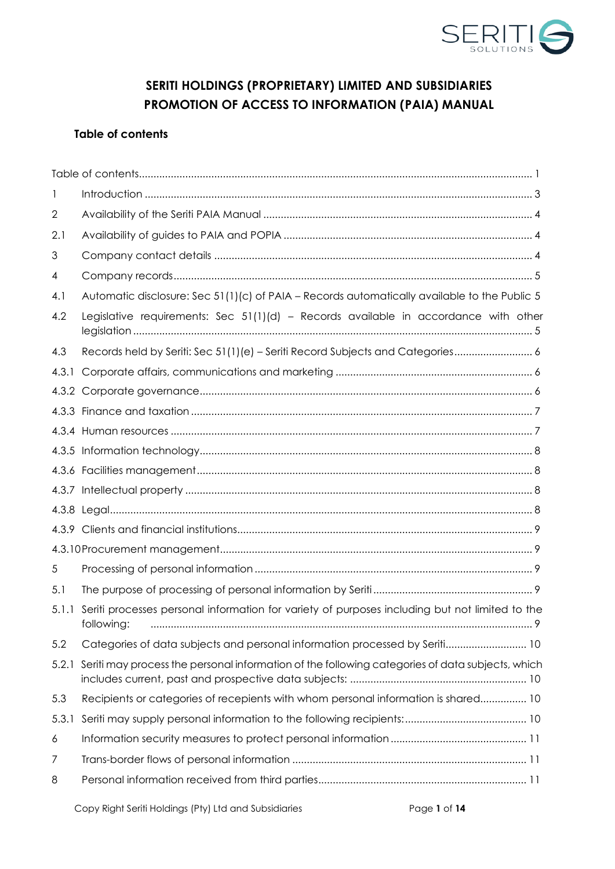

# **SERITI HOLDINGS (PROPRIETARY) LIMITED AND SUBSIDIARIES PROMOTION OF ACCESS TO INFORMATION (PAIA) MANUAL**

# <span id="page-0-0"></span>**Table of contents**

| $\mathbf{I}$ |                                                                                                              |  |  |  |
|--------------|--------------------------------------------------------------------------------------------------------------|--|--|--|
| $\mathbf{2}$ |                                                                                                              |  |  |  |
| 2.1          |                                                                                                              |  |  |  |
| 3            |                                                                                                              |  |  |  |
| 4            |                                                                                                              |  |  |  |
| 4.1          | Automatic disclosure: Sec 51(1)(c) of PAIA - Records automatically available to the Public 5                 |  |  |  |
| 4.2          | Legislative requirements: Sec 51(1)(d) - Records available in accordance with other                          |  |  |  |
| 4.3          | Records held by Seriti: Sec 51(1)(e) - Seriti Record Subjects and Categories 6                               |  |  |  |
| 4.3.1        |                                                                                                              |  |  |  |
| 4.3.2        |                                                                                                              |  |  |  |
|              |                                                                                                              |  |  |  |
|              |                                                                                                              |  |  |  |
|              |                                                                                                              |  |  |  |
|              |                                                                                                              |  |  |  |
|              |                                                                                                              |  |  |  |
|              |                                                                                                              |  |  |  |
|              |                                                                                                              |  |  |  |
|              |                                                                                                              |  |  |  |
| 5            |                                                                                                              |  |  |  |
| 5.1          |                                                                                                              |  |  |  |
| 5.1.1        | Seriti processes personal information for variety of purposes including but not limited to the<br>following: |  |  |  |
| 5.2          | Categories of data subjects and personal information processed by Seriti 10                                  |  |  |  |
| 5.2.1        | Seriti may process the personal information of the following categories of data subjects, which              |  |  |  |
| 5.3          | Recipients or categories of recepients with whom personal information is shared 10                           |  |  |  |
| 5.3.1        |                                                                                                              |  |  |  |
| 6            |                                                                                                              |  |  |  |
| 7            |                                                                                                              |  |  |  |
| 8            |                                                                                                              |  |  |  |
|              |                                                                                                              |  |  |  |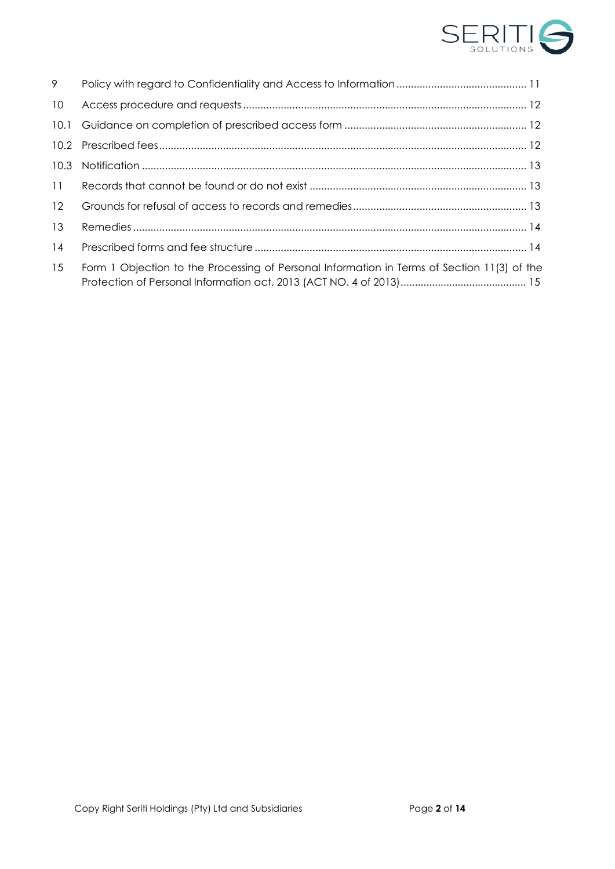

| 9    |                                                                                             |
|------|---------------------------------------------------------------------------------------------|
| 10   |                                                                                             |
| 10.1 |                                                                                             |
|      |                                                                                             |
| 10.3 |                                                                                             |
| 11   |                                                                                             |
| 12   |                                                                                             |
| 13   |                                                                                             |
| 14   |                                                                                             |
| 15   | Form 1 Objection to the Processing of Personal Information in Terms of Section 11(3) of the |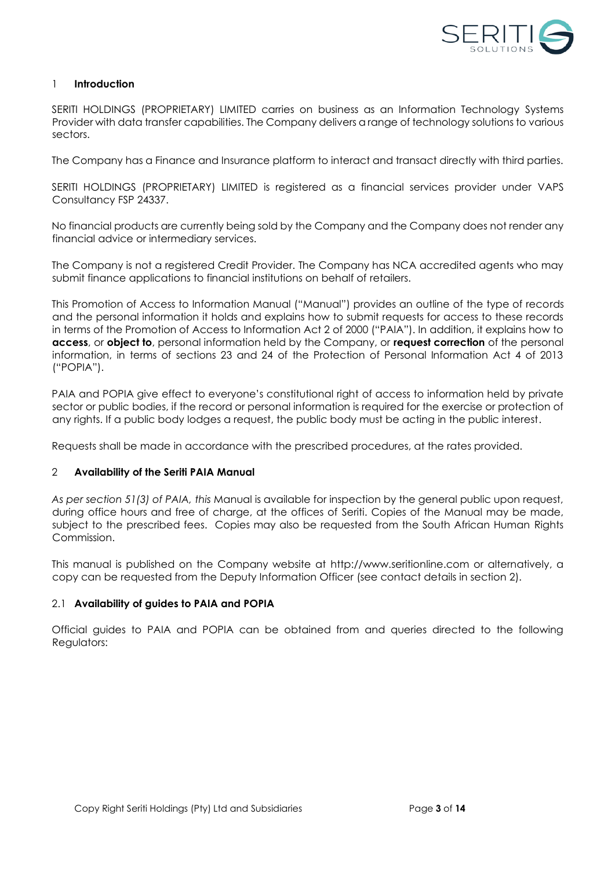

#### <span id="page-2-0"></span>1 **Introduction**

SERITI HOLDINGS (PROPRIETARY) LIMITED carries on business as an Information Technology Systems Provider with data transfer capabilities. The Company delivers a range of technology solutions to various sectors.

The Company has a Finance and Insurance platform to interact and transact directly with third parties.

SERITI HOLDINGS (PROPRIETARY) LIMITED is registered as a financial services provider under VAPS Consultancy FSP 24337.

No financial products are currently being sold by the Company and the Company does not render any financial advice or intermediary services.

The Company is not a registered Credit Provider. The Company has NCA accredited agents who may submit finance applications to financial institutions on behalf of retailers.

This Promotion of Access to Information Manual ("Manual") provides an outline of the type of records and the personal information it holds and explains how to submit requests for access to these records in terms of the Promotion of Access to Information Act 2 of 2000 ("PAIA"). In addition, it explains how to **access**, or **object to**, personal information held by the Company, or **request correction** of the personal information, in terms of sections 23 and 24 of the Protection of Personal Information Act 4 of 2013 ("POPIA").

PAIA and POPIA give effect to everyone's constitutional right of access to information held by private sector or public bodies, if the record or personal information is required for the exercise or protection of any rights. If a public body lodges a request, the public body must be acting in the public interest.

Requests shall be made in accordance with the prescribed procedures, at the rates provided.

#### <span id="page-2-1"></span>2 **Availability of the Seriti PAIA Manual**

*As per section 51(3) of PAIA, this* Manual is available for inspection by the general public upon request, during office hours and free of charge, at the offices of Seriti. Copies of the Manual may be made, subject to the prescribed fees. Copies may also be requested from the South African Human Rights Commission.

This manual is published on the Company website at http://www.seritionline.com or alternatively, a copy can be requested from the Deputy Information Officer (see contact details in section 2).

#### <span id="page-2-2"></span>2.1 **Availability of guides to PAIA and POPIA**

Official guides to PAIA and POPIA can be obtained from and queries directed to the following Regulators: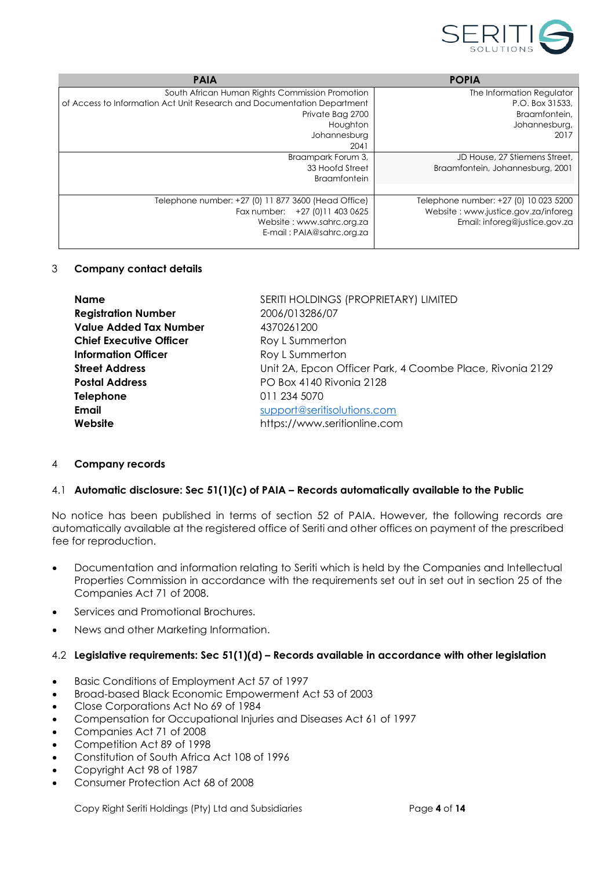

| <b>PAIA</b>                                                             | <b>POPIA</b>                          |
|-------------------------------------------------------------------------|---------------------------------------|
| South African Human Rights Commission Promotion                         | The Information Regulator             |
| of Access to Information Act Unit Research and Documentation Department | P.O. Box 31533.                       |
| Private Bag 2700                                                        | Braamfontein.                         |
| Houghton                                                                | Johannesburg,                         |
| Johannesburg                                                            | 2017                                  |
| 2041                                                                    |                                       |
| Braampark Forum 3,                                                      | JD House, 27 Stiemens Street,         |
| 33 Hoofd Street                                                         | Braamfontein, Johannesburg, 2001      |
| <b>Braamfontein</b>                                                     |                                       |
|                                                                         |                                       |
| Telephone number: +27 (0) 11 877 3600 (Head Office)                     | Telephone number: +27 (0) 10 023 5200 |
| Fax number: +27 (0) 11 403 0625                                         | Website: www.justice.gov.za/inforeg   |
| Website: www.sahrc.org.za                                               | Email: inforeg@justice.gov.za         |
| E-mail: PAIA@sahrc.org.za                                               |                                       |
|                                                                         |                                       |

#### <span id="page-3-0"></span>3 **Company contact details**

| <b>Name</b>                    | SERITI HOLDINGS (PROPRIETARY) LIMITED                     |
|--------------------------------|-----------------------------------------------------------|
| <b>Registration Number</b>     | 2006/013286/07                                            |
| <b>Value Added Tax Number</b>  | 4370261200                                                |
| <b>Chief Executive Officer</b> | Roy L Summerton                                           |
| <b>Information Officer</b>     | Roy L Summerton                                           |
| <b>Street Address</b>          | Unit 2A, Epcon Officer Park, 4 Coombe Place, Rivonia 2129 |
| <b>Postal Address</b>          | PO Box 4140 Rivonia 2128                                  |
| <b>Telephone</b>               | 011 234 5070                                              |
| Email                          | support@seritisolutions.com                               |
| Website                        | https://www.seritionline.com                              |
|                                |                                                           |

#### <span id="page-3-1"></span>4 **Company records**

#### <span id="page-3-2"></span>4.1 **Automatic disclosure: Sec 51(1)(c) of PAIA – Records automatically available to the Public**

No notice has been published in terms of section 52 of PAIA. However, the following records are automatically available at the registered office of Seriti and other offices on payment of the prescribed fee for reproduction.

- Documentation and information relating to Seriti which is held by the Companies and Intellectual Properties Commission in accordance with the requirements set out in set out in section 25 of the Companies Act 71 of 2008.
- Services and Promotional Brochures.
- News and other Marketing Information.

### <span id="page-3-3"></span>4.2 **Legislative requirements: Sec 51(1)(d) – Records available in accordance with other legislation**

- Basic Conditions of Employment Act 57 of 1997
- Broad-based Black Economic Empowerment Act 53 of 2003
- Close Corporations Act No 69 of 1984
- Compensation for Occupational Injuries and Diseases Act 61 of 1997
- Companies Act 71 of 2008
- Competition Act 89 of 1998
- Constitution of South Africa Act 108 of 1996
- Copyright Act 98 of 1987
- Consumer Protection Act 68 of 2008

Copy Right Seriti Holdings (Pty) Ltd and Subsidiaries Page **4** of **14**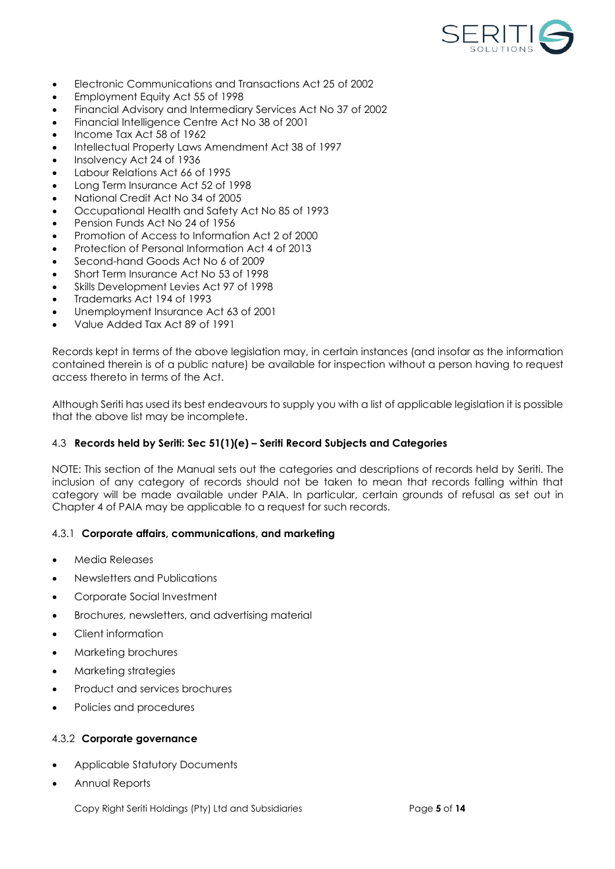

- Electronic Communications and Transactions Act 25 of 2002
- Employment Equity Act 55 of 1998
- Financial Advisory and Intermediary Services Act No 37 of 2002
- Financial Intelligence Centre Act No 38 of 2001
- Income Tax Act 58 of 1962
- Intellectual Property Laws Amendment Act 38 of 1997
- Insolvency Act 24 of 1936
- Labour Relations Act 66 of 1995
- Long Term Insurance Act 52 of 1998
- National Credit Act No 34 of 2005
- Occupational Health and Safety Act No 85 of 1993
- Pension Funds Act No 24 of 1956
- Promotion of Access to Information Act 2 of 2000
- Protection of Personal Information Act 4 of 2013
- Second-hand Goods Act No 6 of 2009
- Short Term Insurance Act No 53 of 1998
- Skills Development Levies Act 97 of 1998
- Trademarks Act 194 of 1993
- Unemployment Insurance Act 63 of 2001
- Value Added Tax Act 89 of 1991

Records kept in terms of the above legislation may, in certain instances (and insofar as the information contained therein is of a public nature) be available for inspection without a person having to request access thereto in terms of the Act.

Although Seriti has used its best endeavours to supply you with a list of applicable legislation it is possible that the above list may be incomplete.

#### <span id="page-4-0"></span>4.3 **Records held by Seriti: Sec 51(1)(e) – Seriti Record Subjects and Categories**

NOTE: This section of the Manual sets out the categories and descriptions of records held by Seriti. The inclusion of any category of records should not be taken to mean that records falling within that category will be made available under PAIA. In particular, certain grounds of refusal as set out in Chapter 4 of PAIA may be applicable to a request for such records.

#### <span id="page-4-1"></span>4.3.1 **Corporate affairs, communications, and marketing**

- Media Releases
- Newsletters and Publications
- Corporate Social Investment
- Brochures, newsletters, and advertising material
- Client information
- Marketing brochures
- Marketing strategies
- Product and services brochures
- Policies and procedures

#### <span id="page-4-2"></span>4.3.2 **Corporate governance**

- Applicable Statutory Documents
- Annual Reports

Copy Right Seriti Holdings (Pty) Ltd and Subsidiaries Page **5** of **14**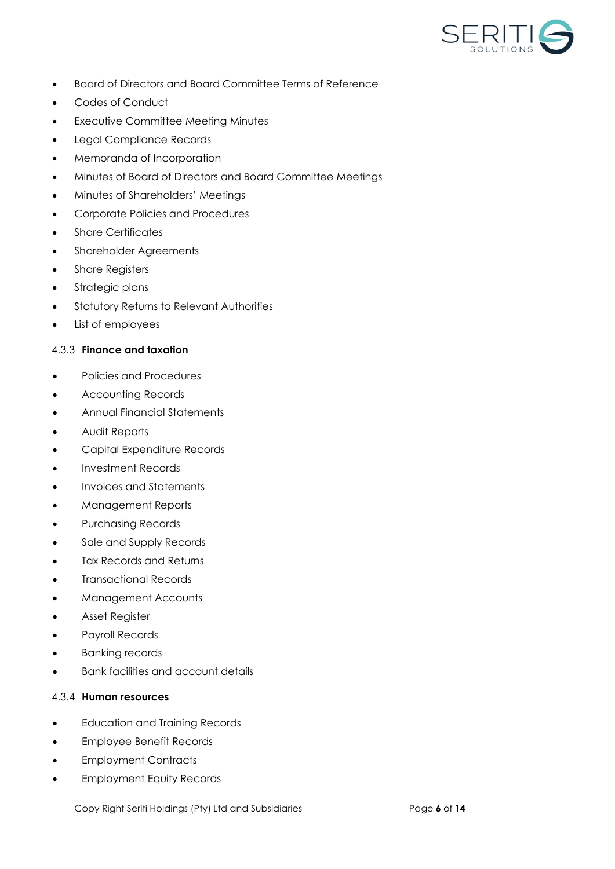

- Board of Directors and Board Committee Terms of Reference
- Codes of Conduct
- **Executive Committee Meeting Minutes**
- Legal Compliance Records
- Memoranda of Incorporation
- Minutes of Board of Directors and Board Committee Meetings
- Minutes of Shareholders' Meetings
- Corporate Policies and Procedures
- Share Certificates
- Shareholder Agreements
- Share Registers
- Strategic plans
- Statutory Returns to Relevant Authorities
- List of employees

#### <span id="page-5-0"></span>4.3.3 **Finance and taxation**

- Policies and Procedures
- Accounting Records
- Annual Financial Statements
- Audit Reports
- Capital Expenditure Records
- Investment Records
- Invoices and Statements
- Management Reports
- Purchasing Records
- Sale and Supply Records
- Tax Records and Returns
- Transactional Records
- Management Accounts
- Asset Register
- Payroll Records
- **Banking records**
- Bank facilities and account details

# <span id="page-5-1"></span>4.3.4 **Human resources**

- Education and Training Records
- Employee Benefit Records
- Employment Contracts
- Employment Equity Records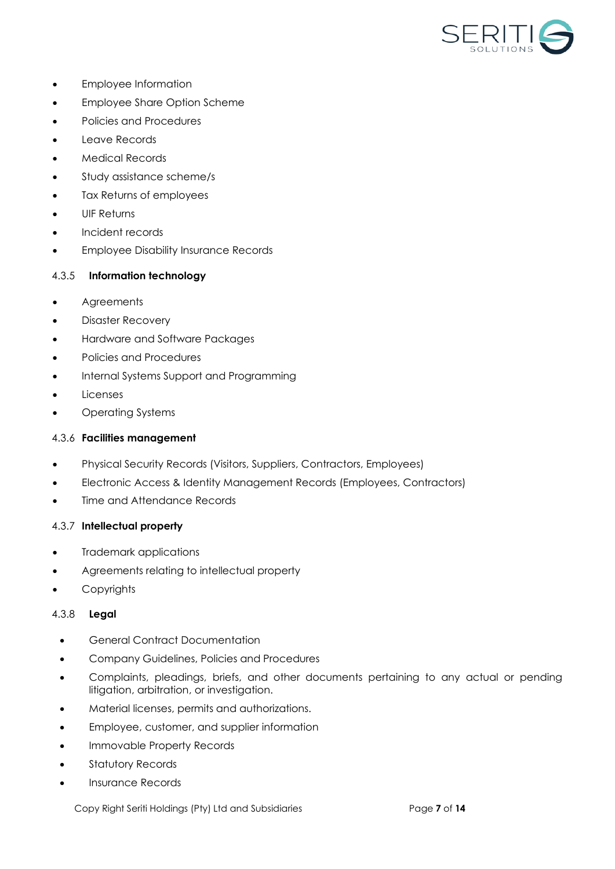

- Employee Information
- Employee Share Option Scheme
- Policies and Procedures
- Leave Records
- Medical Records
- Study assistance scheme/s
- Tax Returns of employees
- UIF Returns
- Incident records
- Employee Disability Insurance Records

# <span id="page-6-0"></span>4.3.5 **Information technology**

- Agreements
- Disaster Recovery
- Hardware and Software Packages
- Policies and Procedures
- Internal Systems Support and Programming
- Licenses
- Operating Systems

# <span id="page-6-1"></span>4.3.6 **Facilities management**

- Physical Security Records (Visitors, Suppliers, Contractors, Employees)
- Electronic Access & Identity Management Records (Employees, Contractors)
- Time and Attendance Records

# <span id="page-6-2"></span>4.3.7 **Intellectual property**

- Trademark applications
- Agreements relating to intellectual property
- **Copyrights**

# <span id="page-6-3"></span>4.3.8 **Legal**

- General Contract Documentation
- Company Guidelines, Policies and Procedures
- Complaints, pleadings, briefs, and other documents pertaining to any actual or pending litigation, arbitration, or investigation.
- Material licenses, permits and authorizations.
- Employee, customer, and supplier information
- Immovable Property Records
- Statutory Records
- Insurance Records

Copy Right Seriti Holdings (Pty) Ltd and Subsidiaries Page **7** of **14**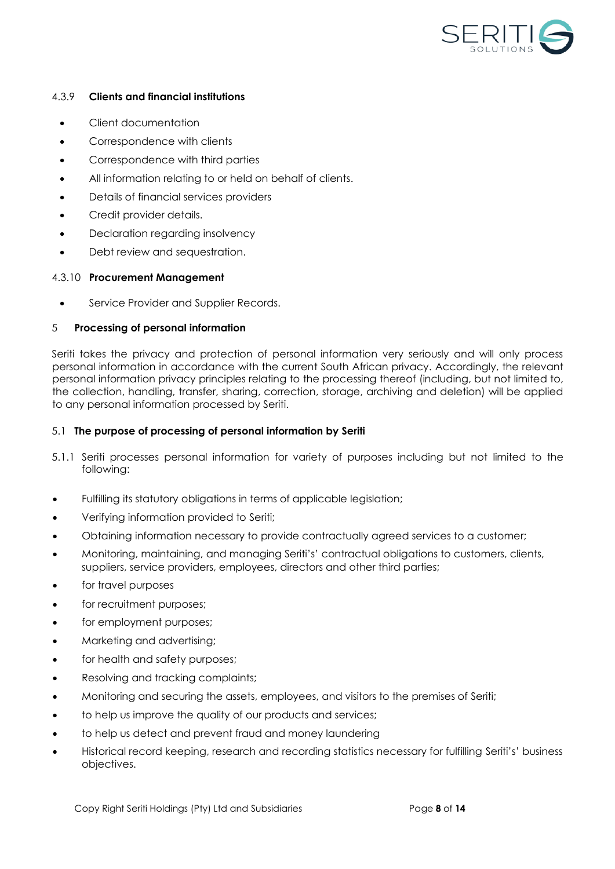

### <span id="page-7-0"></span>4.3.9 **Clients and financial institutions**

- Client documentation
- Correspondence with clients
- Correspondence with third parties
- All information relating to or held on behalf of clients.
- Details of financial services providers
- Credit provider details.
- Declaration regarding insolvency
- Debt review and sequestration.

### 4.3.10 **Procurement Management**

• Service Provider and Supplier Records.

### <span id="page-7-1"></span>5 **Processing of personal information**

Seriti takes the privacy and protection of personal information very seriously and will only process personal information in accordance with the current South African privacy. Accordingly, the relevant personal information privacy principles relating to the processing thereof (including, but not limited to, the collection, handling, transfer, sharing, correction, storage, archiving and deletion) will be applied to any personal information processed by Seriti.

#### <span id="page-7-2"></span>5.1 **The purpose of processing of personal information by Seriti**

- <span id="page-7-3"></span>5.1.1 Seriti processes personal information for variety of purposes including but not limited to the following:
- Fulfilling its statutory obligations in terms of applicable legislation;
- Verifying information provided to Seriti;
- Obtaining information necessary to provide contractually agreed services to a customer;
- Monitoring, maintaining, and managing Seriti's' contractual obligations to customers, clients, suppliers, service providers, employees, directors and other third parties;
- for travel purposes
- for recruitment purposes;
- for employment purposes;
- Marketing and advertising;
- for health and safety purposes;
- Resolving and tracking complaints;
- Monitoring and securing the assets, employees, and visitors to the premises of Seriti;
- to help us improve the quality of our products and services;
- to help us detect and prevent fraud and money laundering
- Historical record keeping, research and recording statistics necessary for fulfilling Seriti's' business objectives.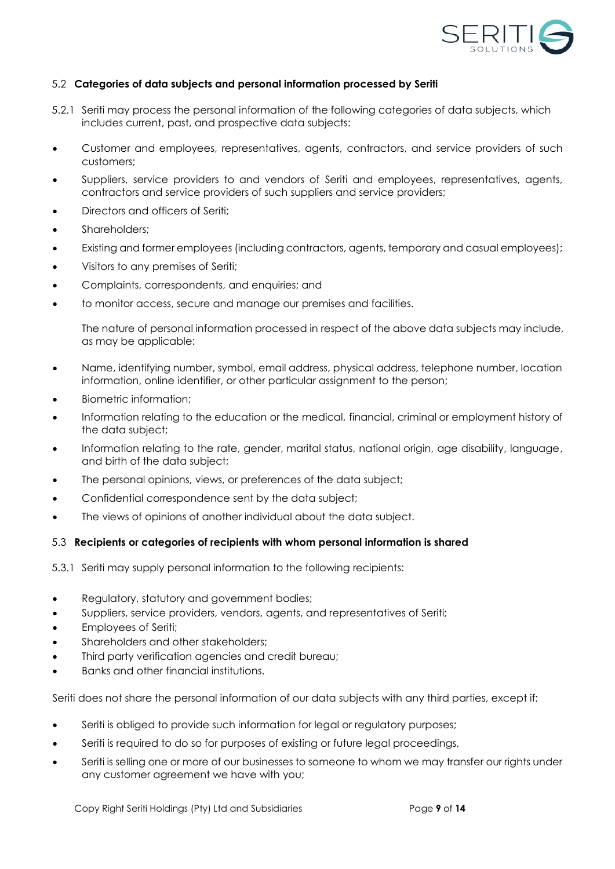

### <span id="page-8-0"></span>5.2 **Categories of data subjects and personal information processed by Seriti**

- <span id="page-8-1"></span>5.2.1 Seriti may process the personal information of the following categories of data subjects, which includes current, past, and prospective data subjects:
- Customer and employees, representatives, agents, contractors, and service providers of such customers;
- Suppliers, service providers to and vendors of Seriti and employees, representatives, agents, contractors and service providers of such suppliers and service providers;
- Directors and officers of Seriti;
- Shareholders;
- Existing and former employees (including contractors, agents, temporary and casual employees);
- Visitors to any premises of Seriti;
- Complaints, correspondents, and enquiries; and
- to monitor access, secure and manage our premises and facilities.

The nature of personal information processed in respect of the above data subjects may include, as may be applicable:

- Name, identifying number, symbol, email address, physical address, telephone number, location information, online identifier, or other particular assignment to the person;
- Biometric information;
- Information relating to the education or the medical, financial, criminal or employment history of the data subject;
- Information relating to the rate, gender, marital status, national origin, age disability, language, and birth of the data subject;
- The personal opinions, views, or preferences of the data subject;
- Confidential correspondence sent by the data subject;
- The views of opinions of another individual about the data subject.

#### <span id="page-8-2"></span>5.3 **Recipients or categories of recipients with whom personal information is shared**

<span id="page-8-3"></span>5.3.1 Seriti may supply personal information to the following recipients:

- Regulatory, statutory and government bodies;
- Suppliers, service providers, vendors, agents, and representatives of Seriti;
- Employees of Seriti;
- Shareholders and other stakeholders;
- Third party verification agencies and credit bureau;
- Banks and other financial institutions.

Seriti does not share the personal information of our data subjects with any third parties, except if:

- Seriti is obliged to provide such information for legal or regulatory purposes;
- Seriti is required to do so for purposes of existing or future legal proceedings,
- Seriti is selling one or more of our businesses to someone to whom we may transfer our rights under any customer agreement we have with you;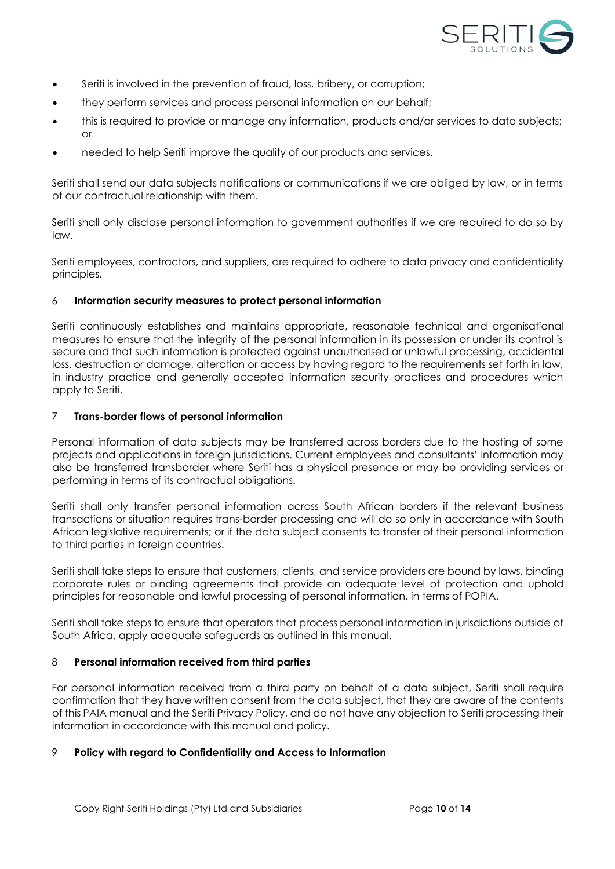

- Seriti is involved in the prevention of fraud, loss, bribery, or corruption;
- they perform services and process personal information on our behalf;
- this is required to provide or manage any information, products and/or services to data subjects; or
- needed to help Seriti improve the quality of our products and services.

Seriti shall send our data subjects notifications or communications if we are obliged by law, or in terms of our contractual relationship with them.

Seriti shall only disclose personal information to government authorities if we are required to do so by law.

Seriti employees, contractors, and suppliers, are required to adhere to data privacy and confidentiality principles.

#### <span id="page-9-0"></span>6 **Information security measures to protect personal information**

Seriti continuously establishes and maintains appropriate, reasonable technical and organisational measures to ensure that the integrity of the personal information in its possession or under its control is secure and that such information is protected against unauthorised or unlawful processing, accidental loss, destruction or damage, alteration or access by having regard to the requirements set forth in law, in industry practice and generally accepted information security practices and procedures which apply to Seriti.

#### <span id="page-9-1"></span>7 **Trans-border flows of personal information**

Personal information of data subjects may be transferred across borders due to the hosting of some projects and applications in foreign jurisdictions. Current employees and consultants' information may also be transferred transborder where Seriti has a physical presence or may be providing services or performing in terms of its contractual obligations.

Seriti shall only transfer personal information across South African borders if the relevant business transactions or situation requires trans-border processing and will do so only in accordance with South African legislative requirements; or if the data subject consents to transfer of their personal information to third parties in foreign countries.

Seriti shall take steps to ensure that customers, clients, and service providers are bound by laws, binding corporate rules or binding agreements that provide an adequate level of protection and uphold principles for reasonable and lawful processing of personal information, in terms of POPIA.

Seriti shall take steps to ensure that operators that process personal information in jurisdictions outside of South Africa, apply adequate safeguards as outlined in this manual.

#### <span id="page-9-2"></span>8 **Personal information received from third parties**

For personal information received from a third party on behalf of a data subject, Seriti shall require confirmation that they have written consent from the data subject, that they are aware of the contents of this PAIA manual and the Seriti Privacy Policy, and do not have any objection to Seriti processing their information in accordance with this manual and policy.

#### <span id="page-9-3"></span>9 **Policy with regard to Confidentiality and Access to Information**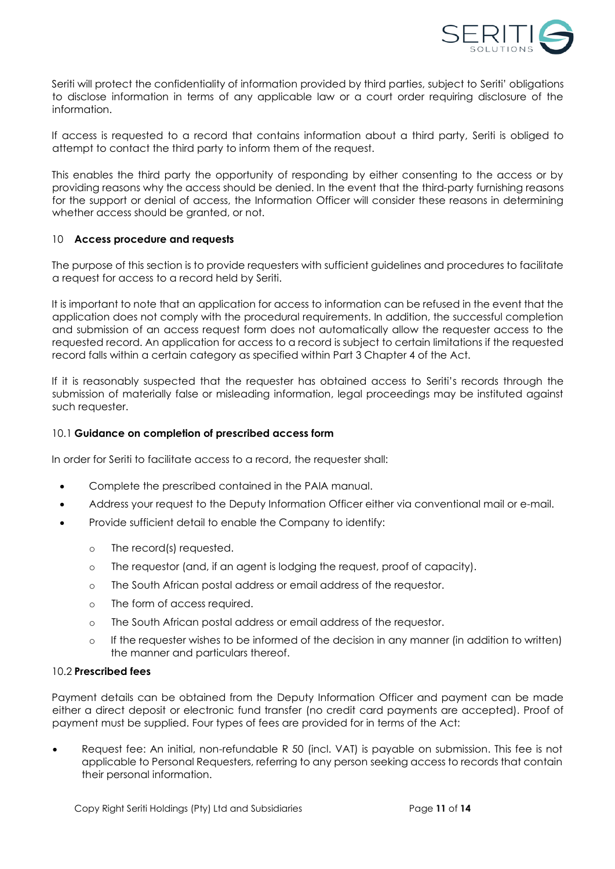

Seriti will protect the confidentiality of information provided by third parties, subject to Seriti' obligations to disclose information in terms of any applicable law or a court order requiring disclosure of the information.

If access is requested to a record that contains information about a third party, Seriti is obliged to attempt to contact the third party to inform them of the request.

This enables the third party the opportunity of responding by either consenting to the access or by providing reasons why the access should be denied. In the event that the third-party furnishing reasons for the support or denial of access, the Information Officer will consider these reasons in determining whether access should be granted, or not.

#### <span id="page-10-0"></span>10 **Access procedure and requests**

The purpose of this section is to provide requesters with sufficient guidelines and procedures to facilitate a request for access to a record held by Seriti.

It is important to note that an application for access to information can be refused in the event that the application does not comply with the procedural requirements. In addition, the successful completion and submission of an access request form does not automatically allow the requester access to the requested record. An application for access to a record is subject to certain limitations if the requested record falls within a certain category as specified within Part 3 Chapter 4 of the Act.

If it is reasonably suspected that the requester has obtained access to Seriti's records through the submission of materially false or misleading information, legal proceedings may be instituted against such requester.

#### <span id="page-10-1"></span>10.1 **Guidance on completion of prescribed access form**

In order for Seriti to facilitate access to a record, the requester shall:

- Complete the prescribed contained in the PAIA manual.
- Address your request to the Deputy Information Officer either via conventional mail or e-mail.
- Provide sufficient detail to enable the Company to identify:
	- o The record(s) requested.
	- o The requestor (and, if an agent is lodging the request, proof of capacity).
	- o The South African postal address or email address of the requestor.
	- o The form of access required.
	- o The South African postal address or email address of the requestor.
	- o If the requester wishes to be informed of the decision in any manner (in addition to written) the manner and particulars thereof.

#### <span id="page-10-2"></span>10.2 **Prescribed fees**

Payment details can be obtained from the Deputy Information Officer and payment can be made either a direct deposit or electronic fund transfer (no credit card payments are accepted). Proof of payment must be supplied. Four types of fees are provided for in terms of the Act:

• Request fee: An initial, non-refundable R 50 (incl. VAT) is payable on submission. This fee is not applicable to Personal Requesters, referring to any person seeking access to records that contain their personal information.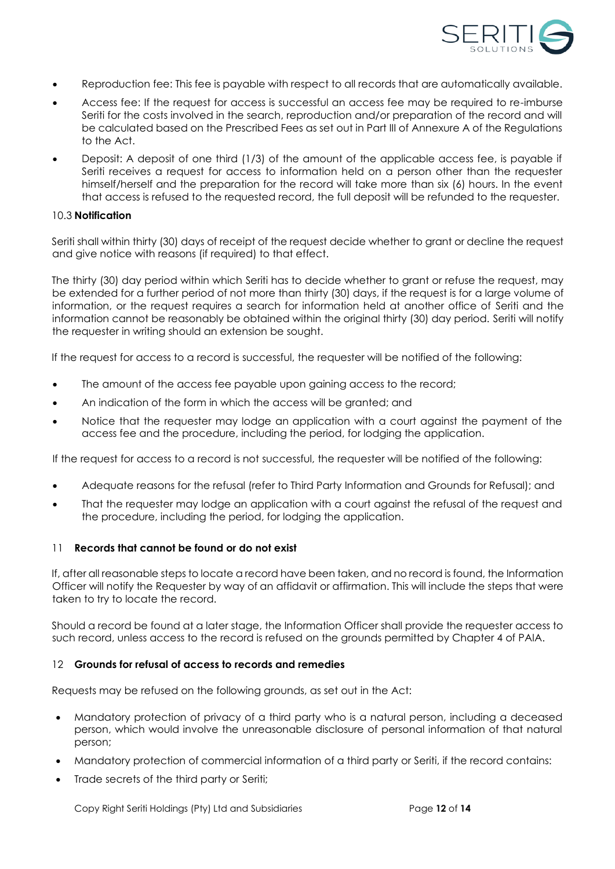

- Reproduction fee: This fee is payable with respect to all records that are automatically available.
- Access fee: If the request for access is successful an access fee may be required to re-imburse Seriti for the costs involved in the search, reproduction and/or preparation of the record and will be calculated based on the Prescribed Fees as set out in Part III of Annexure A of the Regulations to the Act.
- Deposit: A deposit of one third (1/3) of the amount of the applicable access fee, is payable if Seriti receives a request for access to information held on a person other than the requester himself/herself and the preparation for the record will take more than six (6) hours. In the event that access is refused to the requested record, the full deposit will be refunded to the requester.

#### <span id="page-11-0"></span>10.3 **Notification**

Seriti shall within thirty (30) days of receipt of the request decide whether to grant or decline the request and give notice with reasons (if required) to that effect.

The thirty (30) day period within which Seriti has to decide whether to grant or refuse the request, may be extended for a further period of not more than thirty (30) days, if the request is for a large volume of information, or the request requires a search for information held at another office of Seriti and the information cannot be reasonably be obtained within the original thirty (30) day period. Seriti will notify the requester in writing should an extension be sought.

If the request for access to a record is successful, the requester will be notified of the following:

- The amount of the access fee payable upon gaining access to the record;
- An indication of the form in which the access will be granted; and
- Notice that the requester may lodge an application with a court against the payment of the access fee and the procedure, including the period, for lodging the application.

If the request for access to a record is not successful, the requester will be notified of the following:

- Adequate reasons for the refusal (refer to Third Party Information and Grounds for Refusal); and
- That the requester may lodge an application with a court against the refusal of the request and the procedure, including the period, for lodging the application.

#### <span id="page-11-1"></span>11 **Records that cannot be found or do not exist**

If, after all reasonable steps to locate a record have been taken, and no record is found, the Information Officer will notify the Requester by way of an affidavit or affirmation. This will include the steps that were taken to try to locate the record.

Should a record be found at a later stage, the Information Officer shall provide the requester access to such record, unless access to the record is refused on the grounds permitted by Chapter 4 of PAIA.

#### <span id="page-11-2"></span>12 **Grounds for refusal of access to records and remedies**

Requests may be refused on the following grounds, as set out in the Act:

- Mandatory protection of privacy of a third party who is a natural person, including a deceased person, which would involve the unreasonable disclosure of personal information of that natural person;
- Mandatory protection of commercial information of a third party or Seriti, if the record contains:
- Trade secrets of the third party or Seriti;

Copy Right Seriti Holdings (Pty) Ltd and Subsidiaries Page **12** of **14**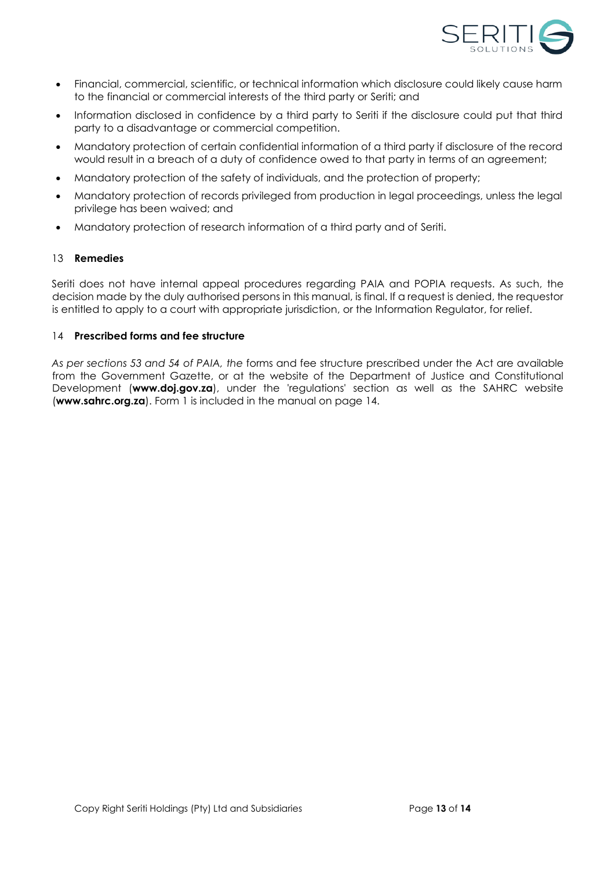

- Financial, commercial, scientific, or technical information which disclosure could likely cause harm to the financial or commercial interests of the third party or Seriti; and
- Information disclosed in confidence by a third party to Seriti if the disclosure could put that third party to a disadvantage or commercial competition.
- Mandatory protection of certain confidential information of a third party if disclosure of the record would result in a breach of a duty of confidence owed to that party in terms of an agreement;
- Mandatory protection of the safety of individuals, and the protection of property;
- Mandatory protection of records privileged from production in legal proceedings, unless the legal privilege has been waived; and
- Mandatory protection of research information of a third party and of Seriti.

#### <span id="page-12-0"></span>13 **Remedies**

Seriti does not have internal appeal procedures regarding PAIA and POPIA requests. As such, the decision made by the duly authorised persons in this manual, is final. If a request is denied, the requestor is entitled to apply to a court with appropriate jurisdiction, or the Information Regulator, for relief.

#### <span id="page-12-1"></span>14 **Prescribed forms and fee structure**

*As per sections 53 and 54 of PAIA, the* forms and fee structure prescribed under the Act are available from the Government Gazette, or at the website of the Department of Justice and Constitutional Development (**www.doj.gov.za**), under the 'regulations' section as well as the SAHRC website (**www.sahrc.org.za**). Form 1 is included in the manual on page 14.